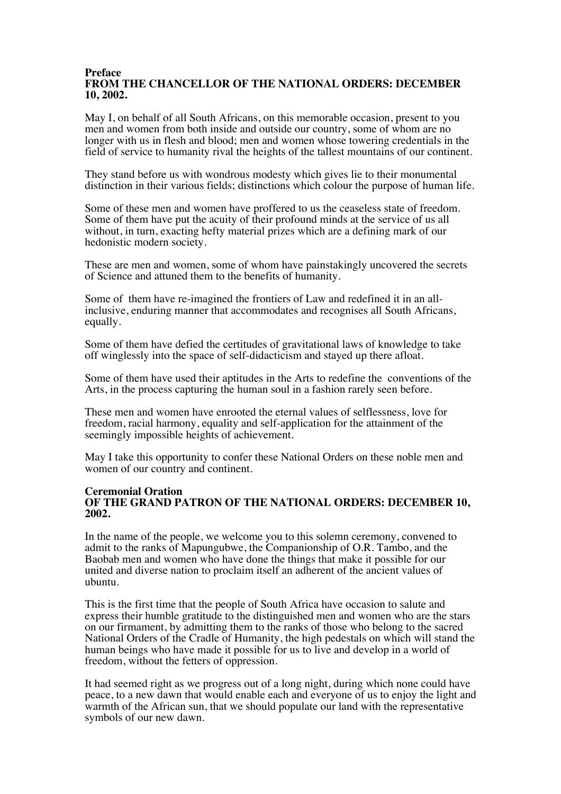#### **Preface FROM THE CHANCELLOR OF THE NATIONAL ORDERS: DECEMBER 10, 2002.**

May I, on behalf of all South Africans, on this memorable occasion, present to you men and women from both inside and outside our country, some of whom are no longer with us in flesh and blood; men and women whose towering credentials in the field of service to humanity rival the heights of the tallest mountains of our continent.

They stand before us with wondrous modesty which gives lie to their monumental distinction in their various fields; distinctions which colour the purpose of human life.

Some of these men and women have proffered to us the ceaseless state of freedom. Some of them have put the acuity of their profound minds at the service of us all without, in turn, exacting hefty material prizes which are a defining mark of our hedonistic modern society.

These are men and women, some of whom have painstakingly uncovered the secrets of Science and attuned them to the benefits of humanity.

Some of them have re-imagined the frontiers of Law and redefined it in an allinclusive, enduring manner that accommodates and recognises all South Africans, equally.

Some of them have defied the certitudes of gravitational laws of knowledge to take off winglessly into the space of self-didacticism and stayed up there afloat.

Some of them have used their aptitudes in the Arts to redefine the conventions of the Arts, in the process capturing the human soul in a fashion rarely seen before.

These men and women have enrooted the eternal values of selflessness, love for freedom, racial harmony, equality and self-application for the attainment of the seemingly impossible heights of achievement.

May I take this opportunity to confer these National Orders on these noble men and women of our country and continent.

#### **Ceremonial Oration OF THE GRAND PATRON OF THE NATIONAL ORDERS: DECEMBER 10, 2002.**

In the name of the people, we welcome you to this solemn ceremony, convened to admit to the ranks of Mapungubwe, the Companionship of O.R. Tambo, and the Baobab men and women who have done the things that make it possible for our united and diverse nation to proclaim itself an adherent of the ancient values of ubuntu.

This is the first time that the people of South Africa have occasion to salute and express their humble gratitude to the distinguished men and women who are the stars on our firmament, by admitting them to the ranks of those who belong to the sacred National Orders of the Cradle of Humanity, the high pedestals on which will stand the human beings who have made it possible for us to live and develop in a world of freedom, without the fetters of oppression.

It had seemed right as we progress out of a long night, during which none could have peace, to a new dawn that would enable each and everyone of us to enjoy the light and warmth of the African sun, that we should populate our land with the representative symbols of our new dawn.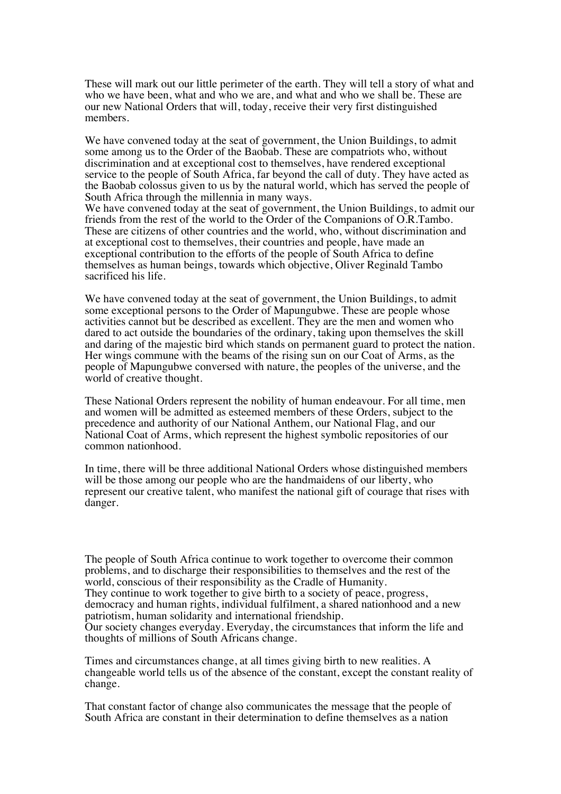These will mark out our little perimeter of the earth. They will tell a story of what and who we have been, what and who we are, and what and who we shall be. These are our new National Orders that will, today, receive their very first distinguished members.

We have convened today at the seat of government, the Union Buildings, to admit some among us to the Order of the Baobab. These are compatriots who, without discrimination and at exceptional cost to themselves, have rendered exceptional service to the people of South Africa, far beyond the call of duty. They have acted as the Baobab colossus given to us by the natural world, which has served the people of South Africa through the millennia in many ways.

We have convened today at the seat of government, the Union Buildings, to admit our friends from the rest of the world to the Order of the Companions of O.R.Tambo. These are citizens of other countries and the world, who, without discrimination and at exceptional cost to themselves, their countries and people, have made an exceptional contribution to the efforts of the people of South Africa to define themselves as human beings, towards which objective, Oliver Reginald Tambo sacrificed his life.

We have convened today at the seat of government, the Union Buildings, to admit some exceptional persons to the Order of Mapungubwe. These are people whose activities cannot but be described as excellent. They are the men and women who dared to act outside the boundaries of the ordinary, taking upon themselves the skill and daring of the majestic bird which stands on permanent guard to protect the nation. Her wings commune with the beams of the rising sun on our Coat of Arms, as the people of Mapungubwe conversed with nature, the peoples of the universe, and the world of creative thought.

These National Orders represent the nobility of human endeavour. For all time, men and women will be admitted as esteemed members of these Orders, subject to the precedence and authority of our National Anthem, our National Flag, and our National Coat of Arms, which represent the highest symbolic repositories of our common nationhood.

In time, there will be three additional National Orders whose distinguished members will be those among our people who are the handmaidens of our liberty, who represent our creative talent, who manifest the national gift of courage that rises with danger.

The people of South Africa continue to work together to overcome their common problems, and to discharge their responsibilities to themselves and the rest of the world, conscious of their responsibility as the Cradle of Humanity. They continue to work together to give birth to a society of peace, progress, democracy and human rights, individual fulfilment, a shared nationhood and a new patriotism, human solidarity and international friendship. Our society changes everyday. Everyday, the circumstances that inform the life and thoughts of millions of South Africans change.

Times and circumstances change, at all times giving birth to new realities. A changeable world tells us of the absence of the constant, except the constant reality of change.

That constant factor of change also communicates the message that the people of South Africa are constant in their determination to define themselves as a nation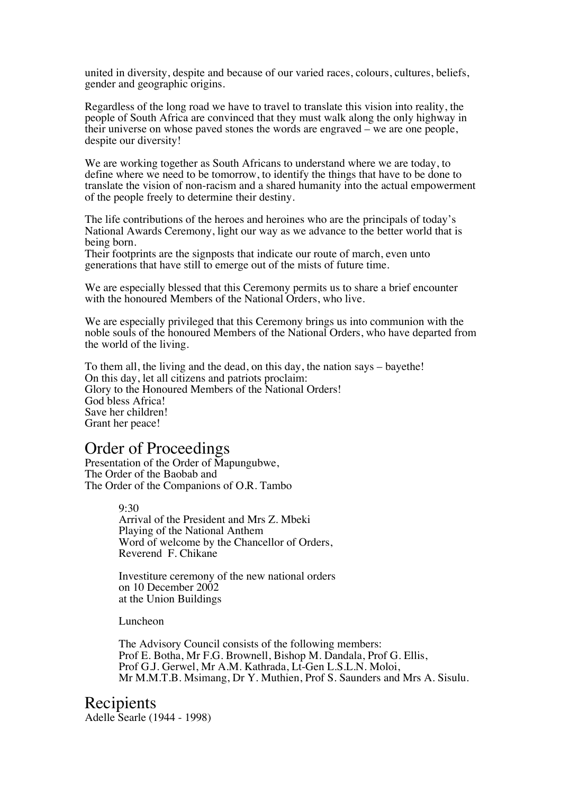united in diversity, despite and because of our varied races, colours, cultures, beliefs, gender and geographic origins.

Regardless of the long road we have to travel to translate this vision into reality, the people of South Africa are convinced that they must walk along the only highway in their universe on whose paved stones the words are engraved – we are one people, despite our diversity!

We are working together as South Africans to understand where we are today, to define where we need to be tomorrow, to identify the things that have to be done to translate the vision of non-racism and a shared humanity into the actual empowerment of the people freely to determine their destiny.

The life contributions of the heroes and heroines who are the principals of today's National Awards Ceremony, light our way as we advance to the better world that is being born.

Their footprints are the signposts that indicate our route of march, even unto generations that have still to emerge out of the mists of future time.

We are especially blessed that this Ceremony permits us to share a brief encounter with the honoured Members of the National Orders, who live.

We are especially privileged that this Ceremony brings us into communion with the noble souls of the honoured Members of the National Orders, who have departed from the world of the living.

To them all, the living and the dead, on this day, the nation says – bayethe! On this day, let all citizens and patriots proclaim: Glory to the Honoured Members of the National Orders! God bless Africa! Save her children! Grant her peace!

# Order of Proceedings

Presentation of the Order of Mapungubwe, The Order of the Baobab and The Order of the Companions of O.R. Tambo

> 9:30 Arrival of the President and Mrs Z. Mbeki Playing of the National Anthem Word of welcome by the Chancellor of Orders, Reverend F. Chikane

> Investiture ceremony of the new national orders on 10 December 2002 at the Union Buildings

Luncheon

The Advisory Council consists of the following members: Prof E. Botha, Mr F.G. Brownell, Bishop M. Dandala, Prof G. Ellis, Prof G.J. Gerwel, Mr A.M. Kathrada, Lt-Gen L.S.L.N. Moloi, Mr M.M.T.B. Msimang, Dr Y. Muthien, Prof S. Saunders and Mrs A. Sisulu.

Recipients Adelle Searle (1944 - 1998)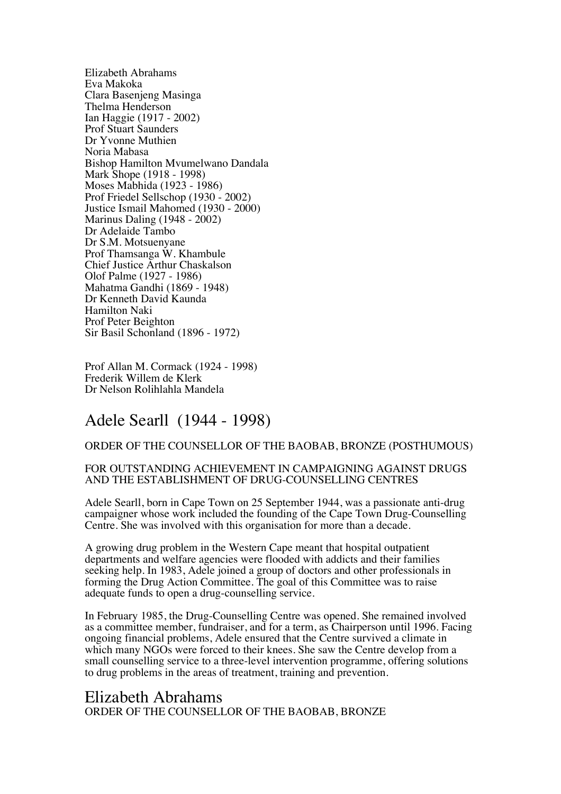Elizabeth Abrahams Eva Makoka Clara Basenjeng Masinga Thelma Henderson Ian Haggie (1917 - 2002) Prof Stuart Saunders Dr Yvonne Muthien Noria Mabasa Bishop Hamilton Mvumelwano Dandala Mark Shope (1918 - 1998) Moses Mabhida (1923 - 1986) Prof Friedel Sellschop (1930 - 2002) Justice Ismail Mahomed (1930 - 2000) Marinus Daling (1948 - 2002) Dr Adelaide Tambo Dr S.M. Motsuenyane Prof Thamsanga W. Khambule Chief Justice Arthur Chaskalson Olof Palme (1927 - 1986) Mahatma Gandhi (1869 - 1948) Dr Kenneth David Kaunda Hamilton Naki Prof Peter Beighton Sir Basil Schonland (1896 - 1972)

Prof Allan M. Cormack (1924 - 1998) Frederik Willem de Klerk Dr Nelson Rolihlahla Mandela

# Adele Searll (1944 - 1998)

#### ORDER OF THE COUNSELLOR OF THE BAOBAB, BRONZE (POSTHUMOUS)

#### FOR OUTSTANDING ACHIEVEMENT IN CAMPAIGNING AGAINST DRUGS AND THE ESTABLISHMENT OF DRUG-COUNSELLING CENTRES

Adele Searll, born in Cape Town on 25 September 1944, was a passionate anti-drug campaigner whose work included the founding of the Cape Town Drug-Counselling Centre. She was involved with this organisation for more than a decade.

A growing drug problem in the Western Cape meant that hospital outpatient departments and welfare agencies were flooded with addicts and their families seeking help. In 1983, Adele joined a group of doctors and other professionals in forming the Drug Action Committee. The goal of this Committee was to raise adequate funds to open a drug-counselling service.

In February 1985, the Drug-Counselling Centre was opened. She remained involved as a committee member, fundraiser, and for a term, as Chairperson until 1996. Facing ongoing financial problems, Adele ensured that the Centre survived a climate in which many NGOs were forced to their knees. She saw the Centre develop from a small counselling service to a three-level intervention programme, offering solutions to drug problems in the areas of treatment, training and prevention.

## Elizabeth Abrahams ORDER OF THE COUNSELLOR OF THE BAOBAB, BRONZE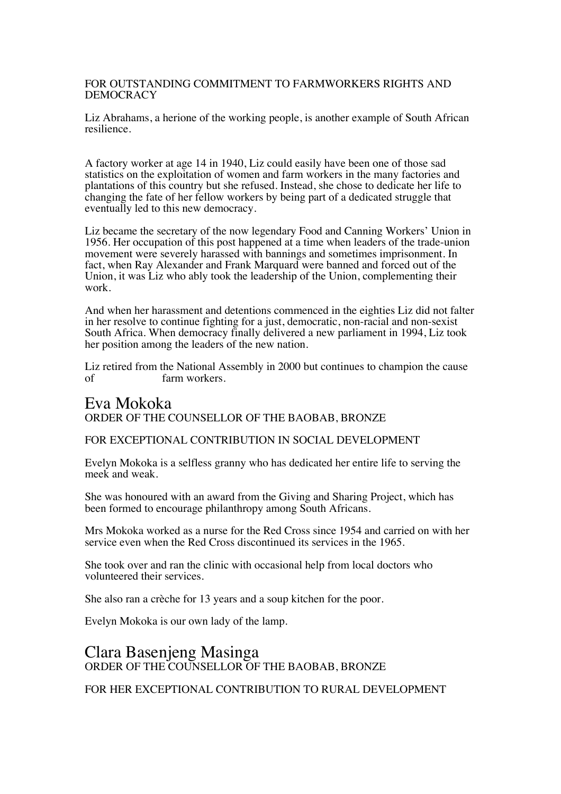### FOR OUTSTANDING COMMITMENT TO FARMWORKERS RIGHTS AND DEMOCRACY

Liz Abrahams, a herione of the working people, is another example of South African resilience.

A factory worker at age 14 in 1940, Liz could easily have been one of those sad statistics on the exploitation of women and farm workers in the many factories and plantations of this country but she refused. Instead, she chose to dedicate her life to changing the fate of her fellow workers by being part of a dedicated struggle that eventually led to this new democracy.

Liz became the secretary of the now legendary Food and Canning Workers' Union in 1956. Her occupation of this post happened at a time when leaders of the trade-union movement were severely harassed with bannings and sometimes imprisonment. In fact, when Ray Alexander and Frank Marquard were banned and forced out of the Union, it was Liz who ably took the leadership of the Union, complementing their work.

And when her harassment and detentions commenced in the eighties Liz did not falter in her resolve to continue fighting for a just, democratic, non-racial and non-sexist South Africa. When democracy finally delivered a new parliament in 1994, Liz took her position among the leaders of the new nation.

Liz retired from the National Assembly in 2000 but continues to champion the cause of farm workers.

# Eva Mokoka ORDER OF THE COUNSELLOR OF THE BAOBAB, BRONZE

#### FOR EXCEPTIONAL CONTRIBUTION IN SOCIAL DEVELOPMENT

Evelyn Mokoka is a selfless granny who has dedicated her entire life to serving the meek and weak.

She was honoured with an award from the Giving and Sharing Project, which has been formed to encourage philanthropy among South Africans.

Mrs Mokoka worked as a nurse for the Red Cross since 1954 and carried on with her service even when the Red Cross discontinued its services in the 1965.

She took over and ran the clinic with occasional help from local doctors who volunteered their services.

She also ran a crèche for 13 years and a soup kitchen for the poor.

Evelyn Mokoka is our own lady of the lamp.

# Clara Basenjeng Masinga ORDER OF THE COUNSELLOR OF THE BAOBAB, BRONZE

FOR HER EXCEPTIONAL CONTRIBUTION TO RURAL DEVELOPMENT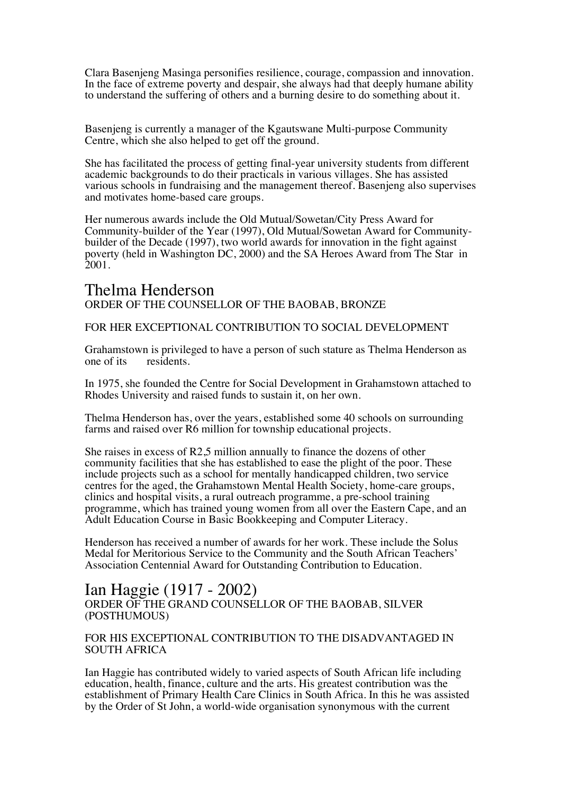Clara Basenjeng Masinga personifies resilience, courage, compassion and innovation. In the face of extreme poverty and despair, she always had that deeply humane ability to understand the suffering of others and a burning desire to do something about it.

Basenjeng is currently a manager of the Kgautswane Multi-purpose Community Centre, which she also helped to get off the ground.

She has facilitated the process of getting final-year university students from different academic backgrounds to do their practicals in various villages. She has assisted various schools in fundraising and the management thereof. Basenjeng also supervises and motivates home-based care groups.

Her numerous awards include the Old Mutual/Sowetan/City Press Award for Community-builder of the Year (1997), Old Mutual/Sowetan Award for Communitybuilder of the Decade (1997), two world awards for innovation in the fight against poverty (held in Washington DC, 2000) and the SA Heroes Award from The Star in 2001.

### Thelma Henderson ORDER OF THE COUNSELLOR OF THE BAOBAB, BRONZE

FOR HER EXCEPTIONAL CONTRIBUTION TO SOCIAL DEVELOPMENT

Grahamstown is privileged to have a person of such stature as Thelma Henderson as one of its residents. residents.

In 1975, she founded the Centre for Social Development in Grahamstown attached to Rhodes University and raised funds to sustain it, on her own.

Thelma Henderson has, over the years, established some 40 schools on surrounding farms and raised over R6 million for township educational projects.

She raises in excess of R2,5 million annually to finance the dozens of other community facilities that she has established to ease the plight of the poor. These include projects such as a school for mentally handicapped children, two service centres for the aged, the Grahamstown Mental Health Society, home-care groups, clinics and hospital visits, a rural outreach programme, a pre-school training programme, which has trained young women from all over the Eastern Cape, and an Adult Education Course in Basic Bookkeeping and Computer Literacy.

Henderson has received a number of awards for her work. These include the Solus Medal for Meritorious Service to the Community and the South African Teachers' Association Centennial Award for Outstanding Contribution to Education.

### Ian Haggie (1917 - 2002) ORDER OF THE GRAND COUNSELLOR OF THE BAOBAB, SILVER (POSTHUMOUS)

#### FOR HIS EXCEPTIONAL CONTRIBUTION TO THE DISADVANTAGED IN SOUTH AFRICA

Ian Haggie has contributed widely to varied aspects of South African life including education, health, finance, culture and the arts. His greatest contribution was the establishment of Primary Health Care Clinics in South Africa. In this he was assisted by the Order of St John, a world-wide organisation synonymous with the current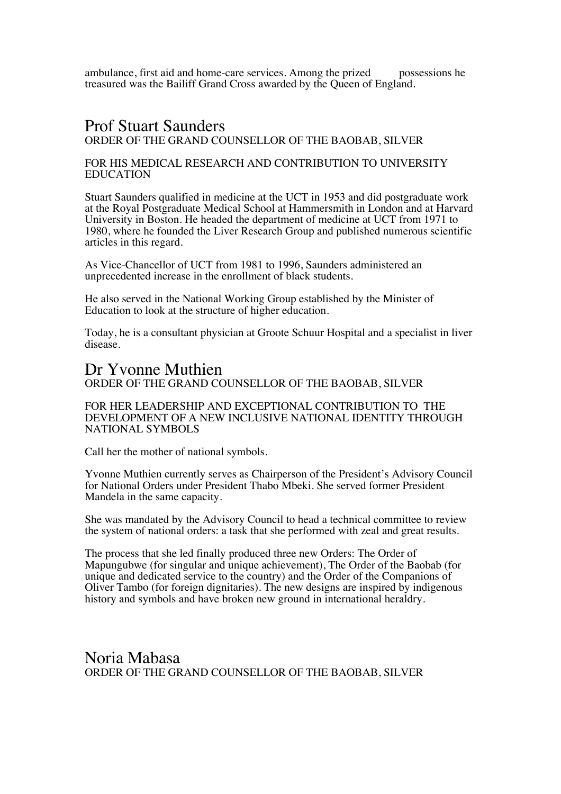ambulance, first aid and home-care services. Among the prized possessions he treasured was the Bailiff Grand Cross awarded by the Queen of England.

### Prof Stuart Saunders ORDER OF THE GRAND COUNSELLOR OF THE BAOBAB, SILVER

#### FOR HIS MEDICAL RESEARCH AND CONTRIBUTION TO UNIVERSITY EDUCATION

Stuart Saunders qualified in medicine at the UCT in 1953 and did postgraduate work at the Royal Postgraduate Medical School at Hammersmith in London and at Harvard University in Boston. He headed the department of medicine at UCT from 1971 to 1980, where he founded the Liver Research Group and published numerous scientific articles in this regard.

As Vice-Chancellor of UCT from 1981 to 1996, Saunders administered an unprecedented increase in the enrollment of black students.

He also served in the National Working Group established by the Minister of Education to look at the structure of higher education.

Today, he is a consultant physician at Groote Schuur Hospital and a specialist in liver disease.

# Dr Yvonne Muthien

### ORDER OF THE GRAND COUNSELLOR OF THE BAOBAB, SILVER

FOR HER LEADERSHIP AND EXCEPTIONAL CONTRIBUTION TO THE DEVELOPMENT OF A NEW INCLUSIVE NATIONAL IDENTITY THROUGH NATIONAL SYMBOLS

Call her the mother of national symbols.

Yvonne Muthien currently serves as Chairperson of the President's Advisory Council for National Orders under President Thabo Mbeki. She served former President Mandela in the same capacity.

She was mandated by the Advisory Council to head a technical committee to review the system of national orders: a task that she performed with zeal and great results.

The process that she led finally produced three new Orders: The Order of Mapungubwe (for singular and unique achievement), The Order of the Baobab (for unique and dedicated service to the country) and the Order of the Companions of Oliver Tambo (for foreign dignitaries). The new designs are inspired by indigenous history and symbols and have broken new ground in international heraldry.

Noria Mabasa ORDER OF THE GRAND COUNSELLOR OF THE BAOBAB, SILVER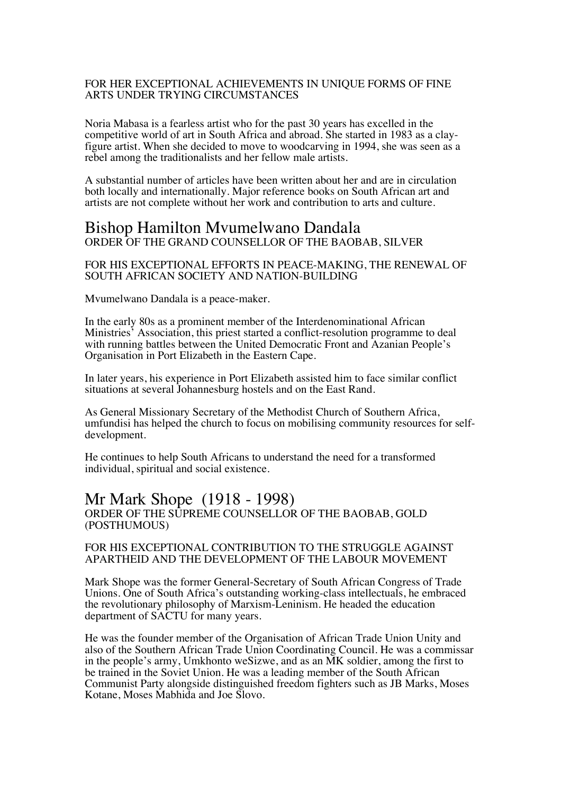#### FOR HER EXCEPTIONAL ACHIEVEMENTS IN UNIQUE FORMS OF FINE ARTS UNDER TRYING CIRCUMSTANCES

Noria Mabasa is a fearless artist who for the past 30 years has excelled in the competitive world of art in South Africa and abroad. She started in 1983 as a clay- figure artist. When she decided to move to woodcarving in 1994, she was seen as a rebel among the traditionalists and her fellow male artists.

A substantial number of articles have been written about her and are in circulation both locally and internationally. Major reference books on South African art and artists are not complete without her work and contribution to arts and culture.

# Bishop Hamilton Mvumelwano Dandala ORDER OF THE GRAND COUNSELLOR OF THE BAOBAB, SILVER

FOR HIS EXCEPTIONAL EFFORTS IN PEACE-MAKING, THE RENEWAL OF SOUTH AFRICAN SOCIETY AND NATION-BUILDING

Mvumelwano Dandala is a peace-maker.

In the early 80s as a prominent member of the Interdenominational African Ministries' Association, this priest started a conflict-resolution programme to deal with running battles between the United Democratic Front and Azanian People's Organisation in Port Elizabeth in the Eastern Cape.

In later years, his experience in Port Elizabeth assisted him to face similar conflict situations at several Johannesburg hostels and on the East Rand.

As General Missionary Secretary of the Methodist Church of Southern Africa, umfundisi has helped the church to focus on mobilising community resources for selfdevelopment.

He continues to help South Africans to understand the need for a transformed individual, spiritual and social existence.

### Mr Mark Shope (1918 - 1998) ORDER OF THE SUPREME COUNSELLOR OF THE BAOBAB, GOLD (POSTHUMOUS)

#### FOR HIS EXCEPTIONAL CONTRIBUTION TO THE STRUGGLE AGAINST APARTHEID AND THE DEVELOPMENT OF THE LABOUR MOVEMENT

Mark Shope was the former General-Secretary of South African Congress of Trade Unions. One of South Africa's outstanding working-class intellectuals, he embraced the revolutionary philosophy of Marxism-Leninism. He headed the education department of SACTU for many years.

He was the founder member of the Organisation of African Trade Union Unity and also of the Southern African Trade Union Coordinating Council. He was a commissar in the people's army, Umkhonto weSizwe, and as an MK soldier, among the first to be trained in the Soviet Union. He was a leading member of the South African Communist Party alongside distinguished freedom fighters such as JB Marks, Moses Kotane, Moses Mabhida and Joe Slovo.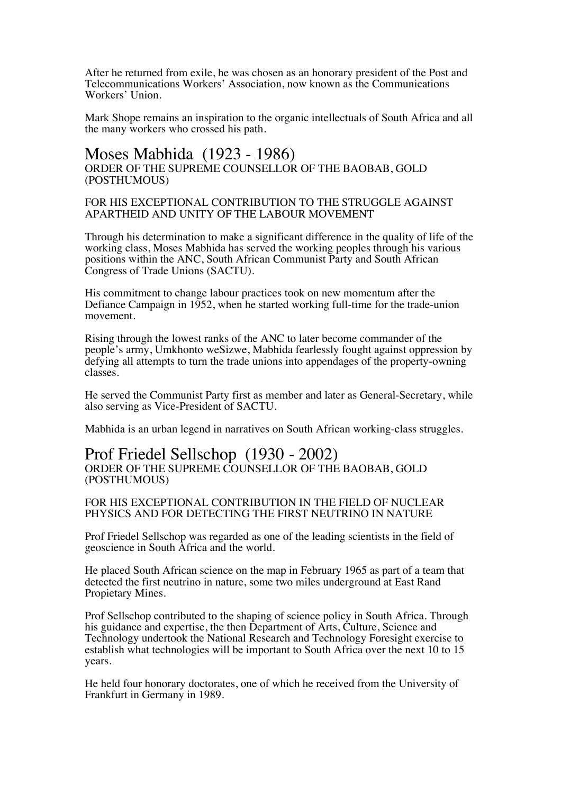After he returned from exile, he was chosen as an honorary president of the Post and Telecommunications Workers' Association, now known as the Communications Workers' Union.

Mark Shope remains an inspiration to the organic intellectuals of South Africa and all the many workers who crossed his path.

### Moses Mabhida (1923 - 1986) ORDER OF THE SUPREME COUNSELLOR OF THE BAOBAB, GOLD (POSTHUMOUS)

#### FOR HIS EXCEPTIONAL CONTRIBUTION TO THE STRUGGLE AGAINST APARTHEID AND UNITY OF THE LABOUR MOVEMENT

Through his determination to make a significant difference in the quality of life of the working class, Moses Mabhida has served the working peoples through his various positions within the ANC, South African Communist Party and South African Congress of Trade Unions (SACTU).

His commitment to change labour practices took on new momentum after the Defiance Campaign in 1952, when he started working full-time for the trade-union movement.

Rising through the lowest ranks of the ANC to later become commander of the people's army, Umkhonto weSizwe, Mabhida fearlessly fought against oppression by defying all attempts to turn the trade unions into appendages of the property-owning classes.

He served the Communist Party first as member and later as General-Secretary, while also serving as Vice-President of SACTU.

Mabhida is an urban legend in narratives on South African working-class struggles.

### Prof Friedel Sellschop (1930 - 2002) ORDER OF THE SUPREME COUNSELLOR OF THE BAOBAB, GOLD (POSTHUMOUS)

#### FOR HIS EXCEPTIONAL CONTRIBUTION IN THE FIELD OF NUCLEAR PHYSICS AND FOR DETECTING THE FIRST NEUTRINO IN NATURE

Prof Friedel Sellschop was regarded as one of the leading scientists in the field of geoscience in South Africa and the world.

He placed South African science on the map in February 1965 as part of a team that detected the first neutrino in nature, some two miles underground at East Rand Propietary Mines.

Prof Sellschop contributed to the shaping of science policy in South Africa. Through his guidance and expertise, the then Department of Arts, Culture, Science and Technology undertook the National Research and Technology Foresight exercise to establish what technologies will be important to South Africa over the next 10 to 15 years.

He held four honorary doctorates, one of which he received from the University of Frankfurt in Germany in 1989.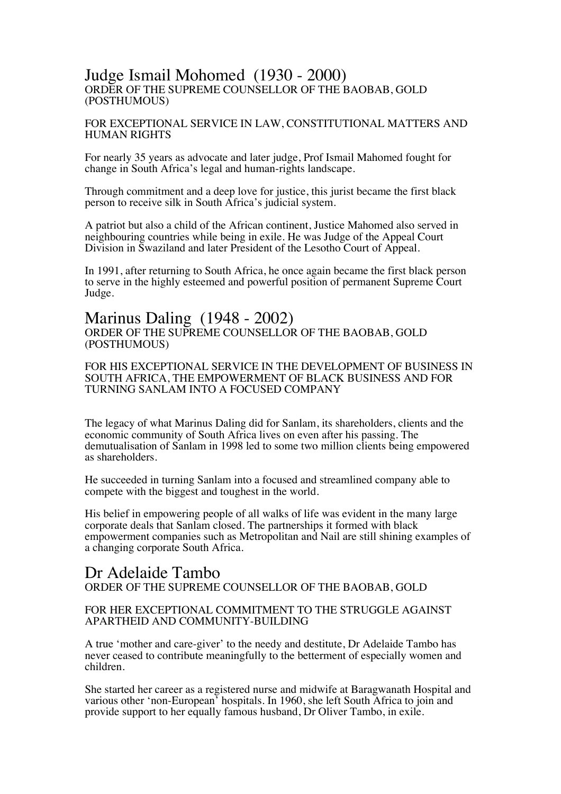### Judge Ismail Mohomed (1930 - 2000) ORDER OF THE SUPREME COUNSELLOR OF THE BAOBAB, GOLD (POSTHUMOUS)

#### FOR EXCEPTIONAL SERVICE IN LAW, CONSTITUTIONAL MATTERS AND HUMAN RIGHTS

For nearly 35 years as advocate and later judge, Prof Ismail Mahomed fought for change in South Africa's legal and human-rights landscape.

Through commitment and a deep love for justice, this jurist became the first black person to receive silk in South Africa's judicial system.

A patriot but also a child of the African continent, Justice Mahomed also served in neighbouring countries while being in exile. He was Judge of the Appeal Court Division in Swaziland and later President of the Lesotho Court of Appeal.

In 1991, after returning to South Africa, he once again became the first black person to serve in the highly esteemed and powerful position of permanent Supreme Court Judge.

### Marinus Daling (1948 - 2002) ORDER OF THE SUPREME COUNSELLOR OF THE BAOBAB, GOLD (POSTHUMOUS)

FOR HIS EXCEPTIONAL SERVICE IN THE DEVELOPMENT OF BUSINESS IN SOUTH AFRICA, THE EMPOWERMENT OF BLACK BUSINESS AND FOR TURNING SANLAM INTO A FOCUSED COMPANY

The legacy of what Marinus Daling did for Sanlam, its shareholders, clients and the economic community of South Africa lives on even after his passing. The demutualisation of Sanlam in 1998 led to some two million clients being empowered as shareholders.

He succeeded in turning Sanlam into a focused and streamlined company able to compete with the biggest and toughest in the world.

His belief in empowering people of all walks of life was evident in the many large corporate deals that Sanlam closed. The partnerships it formed with black empowerment companies such as Metropolitan and Nail are still shining examples of a changing corporate South Africa.

### Dr Adelaide Tambo ORDER OF THE SUPREME COUNSELLOR OF THE BAOBAB, GOLD

### FOR HER EXCEPTIONAL COMMITMENT TO THE STRUGGLE AGAINST APARTHEID AND COMMUNITY-BUILDING

A true 'mother and care-giver' to the needy and destitute, Dr Adelaide Tambo has never ceased to contribute meaningfully to the betterment of especially women and children.

She started her career as a registered nurse and midwife at Baragwanath Hospital and various other 'non-European' hospitals. In 1960, she left South Africa to join and provide support to her equally famous husband, Dr Oliver Tambo, in exile.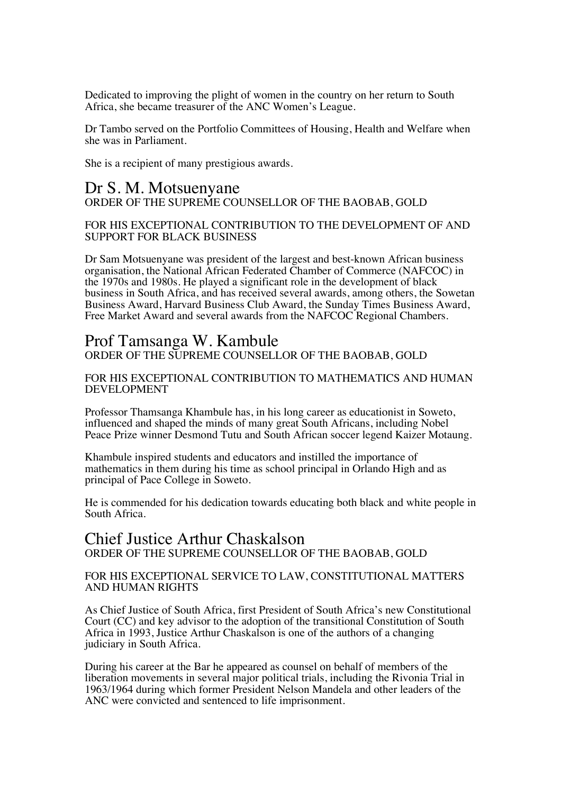Dedicated to improving the plight of women in the country on her return to South Africa, she became treasurer of the ANC Women's League.

Dr Tambo served on the Portfolio Committees of Housing, Health and Welfare when she was in Parliament.

She is a recipient of many prestigious awards.

# Dr S. M. Motsuenyane ORDER OF THE SUPREME COUNSELLOR OF THE BAOBAB, GOLD

#### FOR HIS EXCEPTIONAL CONTRIBUTION TO THE DEVELOPMENT OF AND SUPPORT FOR BLACK BUSINESS

Dr Sam Motsuenyane was president of the largest and best-known African business organisation, the National African Federated Chamber of Commerce (NAFCOC) in the 1970s and 1980s. He played a significant role in the development of black business in South Africa, and has received several awards, among others, the Sowetan Business Award, Harvard Business Club Award, the Sunday Times Business Award, Free Market Award and several awards from the NAFCOC Regional Chambers.

# Prof Tamsanga W. Kambule

ORDER OF THE SUPREME COUNSELLOR OF THE BAOBAB, GOLD

#### FOR HIS EXCEPTIONAL CONTRIBUTION TO MATHEMATICS AND HUMAN DEVELOPMENT

Professor Thamsanga Khambule has, in his long career as educationist in Soweto, influenced and shaped the minds of many great South Africans, including Nobel Peace Prize winner Desmond Tutu and South African soccer legend Kaizer Motaung.

Khambule inspired students and educators and instilled the importance of mathematics in them during his time as school principal in Orlando High and as principal of Pace College in Soweto.

He is commended for his dedication towards educating both black and white people in South Africa.

## Chief Justice Arthur Chaskalson ORDER OF THE SUPREME COUNSELLOR OF THE BAOBAB, GOLD

### FOR HIS EXCEPTIONAL SERVICE TO LAW, CONSTITUTIONAL MATTERS AND HUMAN RIGHTS

As Chief Justice of South Africa, first President of South Africa's new Constitutional Court (CC) and key advisor to the adoption of the transitional Constitution of South Africa in 1993, Justice Arthur Chaskalson is one of the authors of a changing judiciary in South Africa.

During his career at the Bar he appeared as counsel on behalf of members of the liberation movements in several major political trials, including the Rivonia Trial in 1963/1964 during which former President Nelson Mandela and other leaders of the ANC were convicted and sentenced to life imprisonment.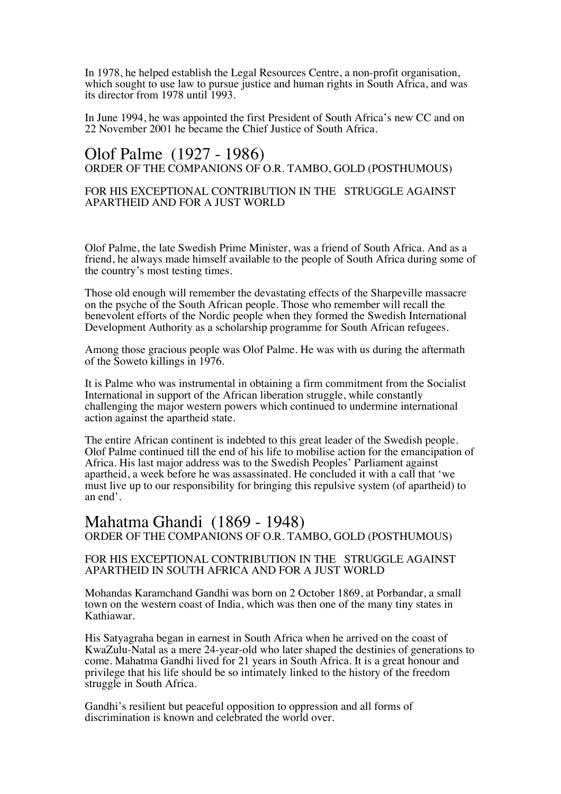In 1978, he helped establish the Legal Resources Centre, a non-profit organisation, which sought to use law to pursue justice and human rights in South Africa, and was its director from 1978 until 1993.

In June 1994, he was appointed the first President of South Africa's new CC and on 22 November 2001 he became the Chief Justice of South Africa.

# Olof Palme (1927 - 1986) ORDER OF THE COMPANIONS OF O.R. TAMBO, GOLD (POSTHUMOUS)

### FOR HIS EXCEPTIONAL CONTRIBUTION IN THE STRUGGLE AGAINST APARTHEID AND FOR A JUST WORLD

Olof Palme, the late Swedish Prime Minister, was a friend of South Africa. And as a friend, he always made himself available to the people of South Africa during some of the country's most testing times.

Those old enough will remember the devastating effects of the Sharpeville massacre on the psyche of the South African people. Those who remember will recall the benevolent efforts of the Nordic people when they formed the Swedish International Development Authority as a scholarship programme for South African refugees.

Among those gracious people was Olof Palme. He was with us during the aftermath of the Soweto killings in 1976.

It is Palme who was instrumental in obtaining a firm commitment from the Socialist International in support of the African liberation struggle, while constantly challenging the major western powers which continued to undermine international action against the apartheid state.

The entire African continent is indebted to this great leader of the Swedish people. Olof Palme continued till the end of his life to mobilise action for the emancipation of Africa. His last major address was to the Swedish Peoples' Parliament against apartheid, a week before he was assassinated. He concluded it with a call that 'we must live up to our responsibility for bringing this repulsive system (of apartheid) to an end'.

# Mahatma Ghandi (1869 - 1948) ORDER OF THE COMPANIONS OF O.R. TAMBO, GOLD (POSTHUMOUS)

#### FOR HIS EXCEPTIONAL CONTRIBUTION IN THE STRUGGLE AGAINST APARTHEID IN SOUTH AFRICA AND FOR A JUST WORLD

Mohandas Karamchand Gandhi was born on 2 October 1869, at Porbandar, a small town on the western coast of India, which was then one of the many tiny states in Kathiawar.

His Satyagraha began in earnest in South Africa when he arrived on the coast of KwaZulu-Natal as a mere 24-year-old who later shaped the destinies of generations to come. Mahatma Gandhi lived for 21 years in South Africa. It is a great honour and privilege that his life should be so intimately linked to the history of the freedom struggle in South Africa.

Gandhi's resilient but peaceful opposition to oppression and all forms of discrimination is known and celebrated the world over.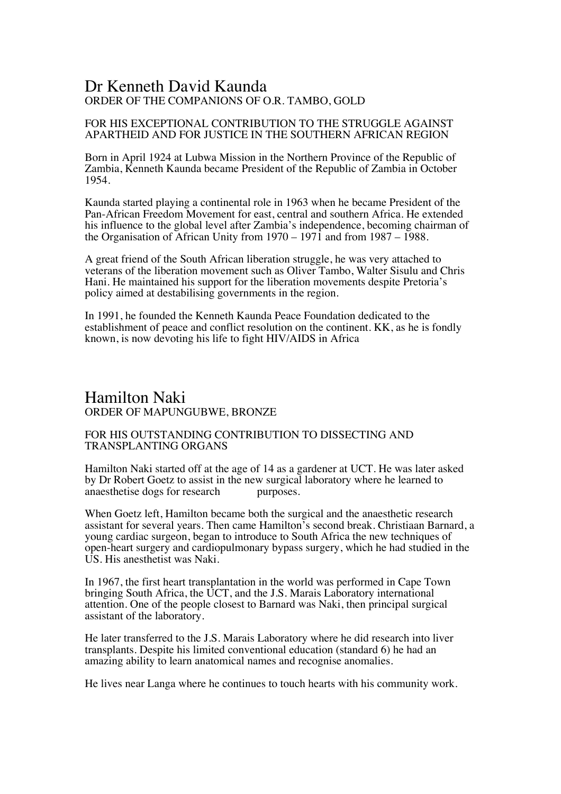# Dr Kenneth David Kaunda ORDER OF THE COMPANIONS OF O.R. TAMBO, GOLD

### FOR HIS EXCEPTIONAL CONTRIBUTION TO THE STRUGGLE AGAINST APARTHEID AND FOR JUSTICE IN THE SOUTHERN AFRICAN REGION

Born in April 1924 at Lubwa Mission in the Northern Province of the Republic of Zambia, Kenneth Kaunda became President of the Republic of Zambia in October 1954.

Kaunda started playing a continental role in 1963 when he became President of the Pan-African Freedom Movement for east, central and southern Africa. He extended his influence to the global level after Zambia's independence, becoming chairman of the Organisation of African Unity from 1970 – 1971 and from 1987 – 1988.

A great friend of the South African liberation struggle, he was very attached to veterans of the liberation movement such as Oliver Tambo, Walter Sisulu and Chris Hani. He maintained his support for the liberation movements despite Pretoria's policy aimed at destabilising governments in the region.

In 1991, he founded the Kenneth Kaunda Peace Foundation dedicated to the establishment of peace and conflict resolution on the continent. KK, as he is fondly known, is now devoting his life to fight HIV/AIDS in Africa

## Hamilton Naki ORDER OF MAPUNGUBWE, BRONZE

### FOR HIS OUTSTANDING CONTRIBUTION TO DISSECTING AND TRANSPLANTING ORGANS

Hamilton Naki started off at the age of 14 as a gardener at UCT. He was later asked by Dr Robert Goetz to assist in the new surgical laboratory where he learned to anaesthetise dogs for research purposes. anaesthetise dogs for research

When Goetz left, Hamilton became both the surgical and the anaesthetic research assistant for several years. Then came Hamilton's second break. Christiaan Barnard, a young cardiac surgeon, began to introduce to South Africa the new techniques of open-heart surgery and cardiopulmonary bypass surgery, which he had studied in the US. His anesthetist was Naki.

In 1967, the first heart transplantation in the world was performed in Cape Town bringing South Africa, the UCT, and the J.S. Marais Laboratory international attention. One of the people closest to Barnard was Naki, then principal surgical assistant of the laboratory.

He later transferred to the J.S. Marais Laboratory where he did research into liver transplants. Despite his limited conventional education (standard 6) he had an amazing ability to learn anatomical names and recognise anomalies.

He lives near Langa where he continues to touch hearts with his community work.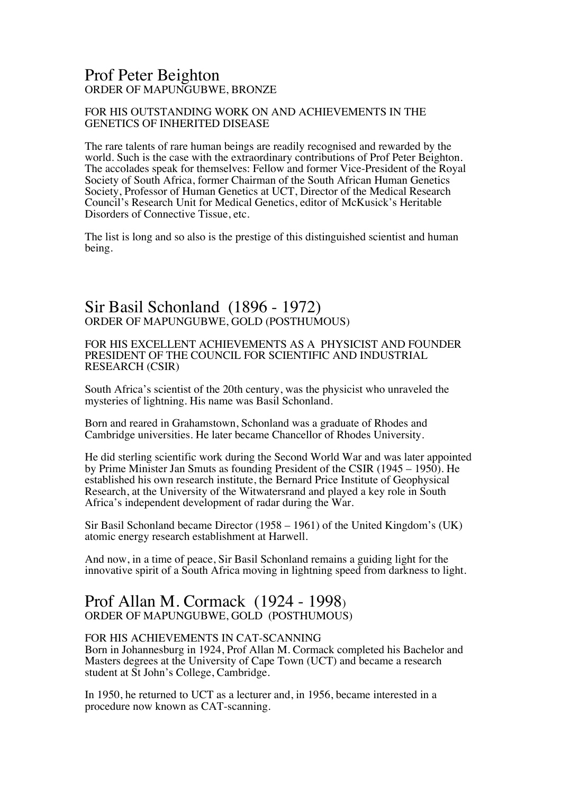# Prof Peter Beighton ORDER OF MAPUNGUBWE, BRONZE

### FOR HIS OUTSTANDING WORK ON AND ACHIEVEMENTS IN THE GENETICS OF INHERITED DISEASE

The rare talents of rare human beings are readily recognised and rewarded by the world. Such is the case with the extraordinary contributions of Prof Peter Beighton. The accolades speak for themselves: Fellow and former Vice-President of the Royal Society of South Africa, former Chairman of the South African Human Genetics Society, Professor of Human Genetics at UCT, Director of the Medical Research Council's Research Unit for Medical Genetics, editor of McKusick's Heritable Disorders of Connective Tissue, etc.

The list is long and so also is the prestige of this distinguished scientist and human being.

# Sir Basil Schonland (1896 - 1972) ORDER OF MAPUNGUBWE, GOLD (POSTHUMOUS)

FOR HIS EXCELLENT ACHIEVEMENTS AS A PHYSICIST AND FOUNDER PRESIDENT OF THE COUNCIL FOR SCIENTIFIC AND INDUSTRIAL RESEARCH (CSIR)

South Africa's scientist of the 20th century, was the physicist who unraveled the mysteries of lightning. His name was Basil Schonland.

Born and reared in Grahamstown, Schonland was a graduate of Rhodes and Cambridge universities. He later became Chancellor of Rhodes University.

He did sterling scientific work during the Second World War and was later appointed by Prime Minister Jan Smuts as founding President of the CSIR (1945 – 1950). He established his own research institute, the Bernard Price Institute of Geophysical Research, at the University of the Witwatersrand and played a key role in South Africa's independent development of radar during the War.

Sir Basil Schonland became Director (1958 – 1961) of the United Kingdom's (UK) atomic energy research establishment at Harwell.

And now, in a time of peace, Sir Basil Schonland remains a guiding light for the innovative spirit of a South Africa moving in lightning speed from darkness to light.

# Prof Allan M. Cormack (1924 - 1998) ORDER OF MAPUNGUBWE, GOLD (POSTHUMOUS)

#### FOR HIS ACHIEVEMENTS IN CAT-SCANNING

Born in Johannesburg in 1924, Prof Allan M. Cormack completed his Bachelor and Masters degrees at the University of Cape Town (UCT) and became a research student at St John's College, Cambridge.

In 1950, he returned to UCT as a lecturer and, in 1956, became interested in a procedure now known as CAT-scanning.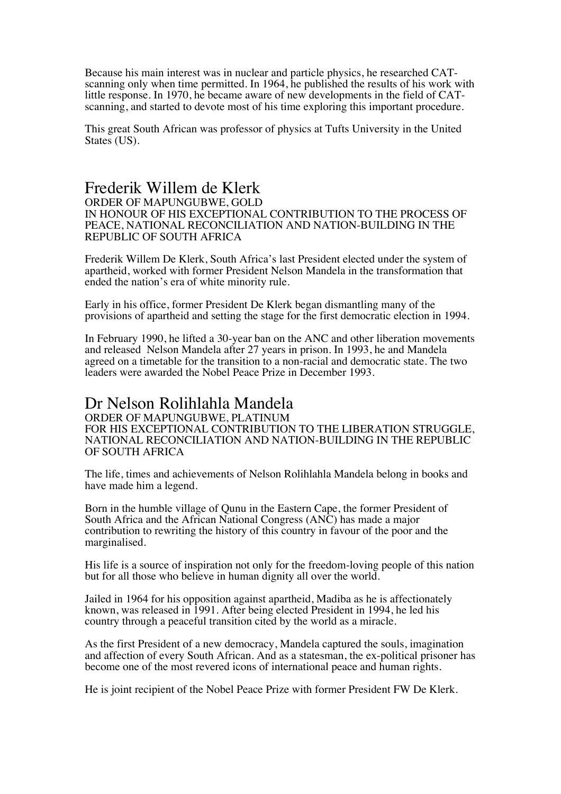Because his main interest was in nuclear and particle physics, he researched CAT-<br>scanning only when time permitted. In 1964, he published the results of his work with<br>little response. In 1970, he became aware of new devel scanning, and started to devote most of his time exploring this important procedure.

This great South African was professor of physics at Tufts University in the United States (US).

### Frederik Willem de Klerk ORDER OF MAPUNGUBWE, GOLD IN HONOUR OF HIS EXCEPTIONAL CONTRIBUTION TO THE PROCESS OF PEACE, NATIONAL RECONCILIATION AND NATION-BUILDING IN THE

Frederik Willem De Klerk, South Africa's last President elected under the system of apartheid, worked with former President Nelson Mandela in the transformation that ended the nation's era of white minority rule.

Early in his office, former President De Klerk began dismantling many of the provisions of apartheid and setting the stage for the first democratic election in 1994.

In February 1990, he lifted a 30-year ban on the ANC and other liberation movements and released Nelson Mandela after 27 years in prison. In 1993, he and Mandela agreed on a timetable for the transition to a non-racial and democratic state. The two leaders were awarded the Nobel Peace Prize in December 1993.

# Dr Nelson Rolihlahla Mandela

REPUBLIC OF SOUTH AFRICA

ORDER OF MAPUNGUBWE, PLATINUM FOR HIS EXCEPTIONAL CONTRIBUTION TO THE LIBERATION STRUGGLE, NATIONAL RECONCILIATION AND NATION-BUILDING IN THE REPUBLIC OF SOUTH AFRICA

The life, times and achievements of Nelson Rolihlahla Mandela belong in books and have made him a legend.

Born in the humble village of Qunu in the Eastern Cape, the former President of South Africa and the African National Congress (ANC) has made a major contribution to rewriting the history of this country in favour of the poor and the marginalised.

His life is a source of inspiration not only for the freedom-loving people of this nation but for all those who believe in human dignity all over the world.

Jailed in 1964 for his opposition against apartheid, Madiba as he is affectionately known, was released in 1991. After being elected President in 1994, he led his country through a peaceful transition cited by the world as a miracle.

As the first President of a new democracy, Mandela captured the souls, imagination and affection of every South African. And as a statesman, the ex-political prisoner has become one of the most revered icons of international peace and human rights.

He is joint recipient of the Nobel Peace Prize with former President FW De Klerk.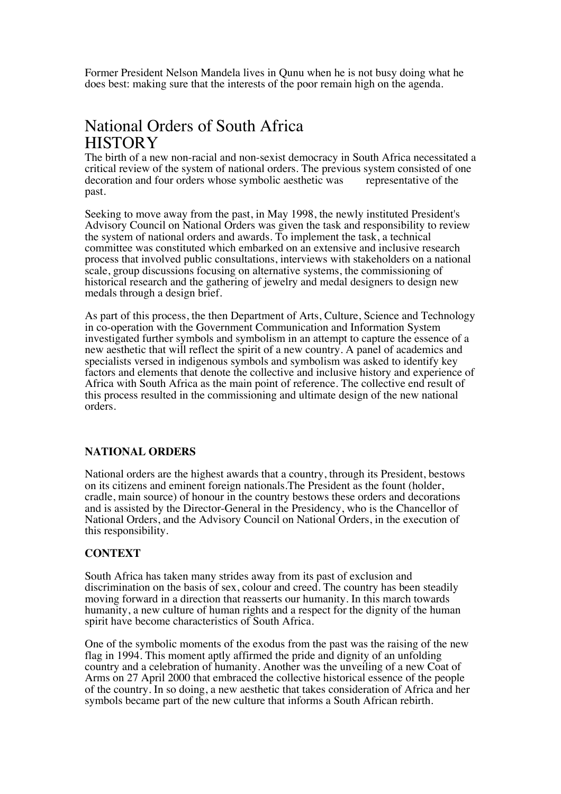Former President Nelson Mandela lives in Qunu when he is not busy doing what he does best: making sure that the interests of the poor remain high on the agenda.

# National Orders of South Africa **HISTORY**

The birth of a new non-racial and non-sexist democracy in South Africa necessitated a critical review of the system of national orders. The previous system consisted of one decoration and four orders whose symbolic aesthetic was representative of the past.

Seeking to move away from the past, in May 1998, the newly instituted President's Advisory Council on National Orders was given the task and responsibility to review the system of national orders and awards. To implement the task, a technical committee was constituted which embarked on an extensive and inclusive research process that involved public consultations, interviews with stakeholders on a national scale, group discussions focusing on alternative systems, the commissioning of historical research and the gathering of jewelry and medal designers to design new medals through a design brief.

As part of this process, the then Department of Arts, Culture, Science and Technology in co-operation with the Government Communication and Information System investigated further symbols and symbolism in an attempt to capture the essence of a new aesthetic that will reflect the spirit of a new country. A panel of academics and specialists versed in indigenous symbols and symbolism was asked to identify key factors and elements that denote the collective and inclusive history and experience of Africa with South Africa as the main point of reference. The collective end result of this process resulted in the commissioning and ultimate design of the new national orders.

### **NATIONAL ORDERS**

National orders are the highest awards that a country, through its President, bestows on its citizens and eminent foreign nationals.The President as the fount (holder, cradle, main source) of honour in the country bestows these orders and decorations and is assisted by the Director-General in the Presidency, who is the Chancellor of National Orders, and the Advisory Council on National Orders, in the execution of this responsibility.

### **CONTEXT**

South Africa has taken many strides away from its past of exclusion and discrimination on the basis of sex, colour and creed. The country has been steadily moving forward in a direction that reasserts our humanity. In this march towards humanity, a new culture of human rights and a respect for the dignity of the human spirit have become characteristics of South Africa.

One of the symbolic moments of the exodus from the past was the raising of the new flag in 1994. This moment aptly affirmed the pride and dignity of an unfolding country and a celebration of humanity. Another was the unveiling of a new Coat of Arms on 27 April 2000 that embraced the collective historical essence of the people of the country. In so doing, a new aesthetic that takes consideration of Africa and her symbols became part of the new culture that informs a South African rebirth.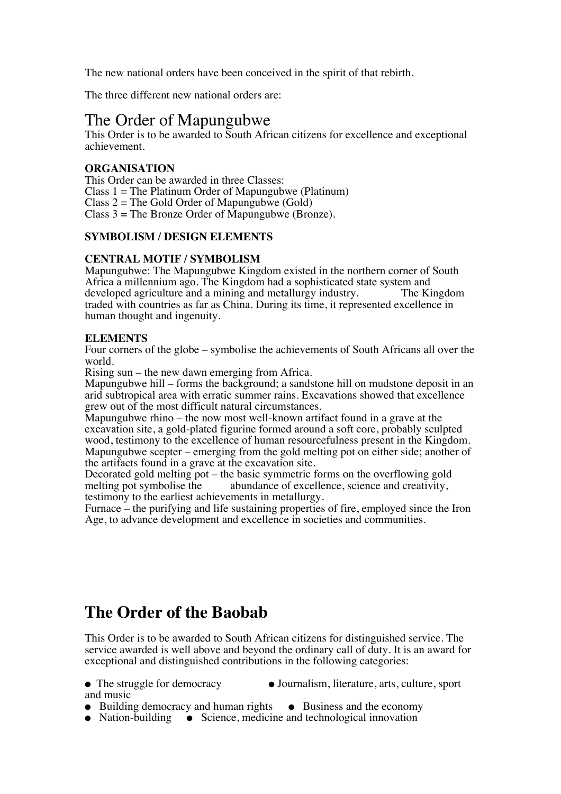The new national orders have been conceived in the spirit of that rebirth.

The three different new national orders are:

# The Order of Mapungubwe

This Order is to be awarded to South African citizens for excellence and exceptional achievement.

### **ORGANISATION**

This Order can be awarded in three Classes: Class  $1 =$  The Platinum Order of Mapungubwe (Platinum) Class  $2 =$  The Gold Order of Mapungubwe (Gold) Class  $3 =$  The Bronze Order of Mapungubwe (Bronze).

### **SYMBOLISM / DESIGN ELEMENTS**

### **CENTRAL MOTIF / SYMBOLISM**

Mapungubwe: The Mapungubwe Kingdom existed in the northern corner of South Africa a millennium ago. The Kingdom had a sophisticated state system and developed agriculture and a mining and metallurgy industry. The Kingdom developed agriculture and a mining and metallurgy industry. traded with countries as far as China. During its time, it represented excellence in human thought and ingenuity.

### **ELEMENTS**

Four corners of the globe – symbolise the achievements of South Africans all over the world.

Rising sun – the new dawn emerging from Africa.

Mapungubwe hill – forms the background; a sandstone hill on mudstone deposit in an arid subtropical area with erratic summer rains. Excavations showed that excellence grew out of the most difficult natural circumstances.

Mapungubwe rhino – the now most well-known artifact found in a grave at the excavation site, a gold-plated figurine formed around a soft core, probably sculpted wood, testimony to the excellence of human resourcefulness present in the Kingdom. Mapungubwe scepter – emerging from the gold melting pot on either side; another of the artifacts found in a grave at the excavation site.

Decorated gold melting pot – the basic symmetric forms on the overflowing gold melting pot symbolise the abundance of excellence, science and creativity, abundance of excellence, science and creativity, testimony to the earliest achievements in metallurgy.

Furnace – the purifying and life sustaining properties of fire, employed since the Iron Age, to advance development and excellence in societies and communities.

# **The Order of the Baobab**

This Order is to be awarded to South African citizens for distinguished service. The service awarded is well above and beyond the ordinary call of duty. It is an award for exceptional and distinguished contributions in the following categories:

- The struggle for democracy Journalism, literature, arts, culture, sport and music
- Building democracy and human rights Business and the economy
- Nation-building Science, medicine and technological innovation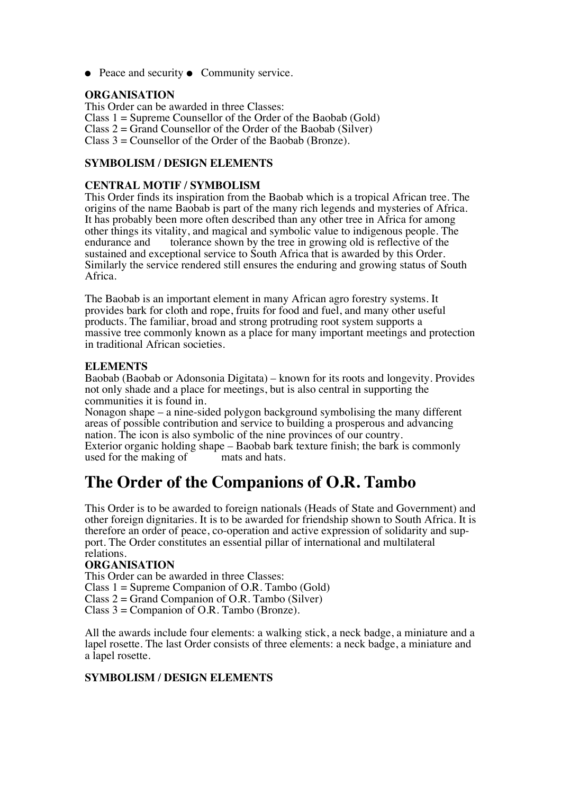● Peace and security ● Community service.

### **ORGANISATION**

This Order can be awarded in three Classes: Class 1 = Supreme Counsellor of the Order of the Baobab (Gold) Class  $2 = Grand$  Counsellor of the Order of the Baobab (Silver) Class 3 = Counsellor of the Order of the Baobab (Bronze).

# **SYMBOLISM / DESIGN ELEMENTS**

## **CENTRAL MOTIF / SYMBOLISM**

This Order finds its inspiration from the Baobab which is a tropical African tree. The origins of the name Baobab is part of the many rich legends and mysteries of Africa. It has probably been more often described than any other tree in Africa for among other things its vitality, and magical and symbolic value to indigenous people. The endurance and tolerance shown by the tree in growing old is reflective of the sustained and exceptional service to South Africa that is awarded by this Order. Similarly the service rendered still ensures the enduring and growing status of South Africa.

The Baobab is an important element in many African agro forestry systems. It provides bark for cloth and rope, fruits for food and fuel, and many other useful products. The familiar, broad and strong protruding root system supports a massive tree commonly known as a place for many important meetings and protection in traditional African societies.

#### **ELEMENTS**

Baobab (Baobab or Adonsonia Digitata) – known for its roots and longevity. Provides not only shade and a place for meetings, but is also central in supporting the communities it is found in.

Nonagon shape – a nine-sided polygon background symbolising the many different areas of possible contribution and service to building a prosperous and advancing nation. The icon is also symbolic of the nine provinces of our country. Exterior organic holding shape – Baobab bark texture finish; the bark is commonly used for the making of mats and hats. used for the making of

# **The Order of the Companions of O.R. Tambo**

This Order is to be awarded to foreign nationals (Heads of State and Government) and other foreign dignitaries. It is to be awarded for friendship shown to South Africa. It is therefore an order of peace, co-operation and active expression of solidarity and support. The Order constitutes an essential pillar of international and multilateral relations.

### **ORGANISATION**

This Order can be awarded in three Classes:

Class 1 = Supreme Companion of O.R. Tambo (Gold)

Class  $2 = Grand Companion of O.R. Tambo (Silver)$ 

Class  $3 =$  Companion of O.R. Tambo (Bronze).

All the awards include four elements: a walking stick, a neck badge, a miniature and a lapel rosette. The last Order consists of three elements: a neck badge, a miniature and a lapel rosette.

#### **SYMBOLISM / DESIGN ELEMENTS**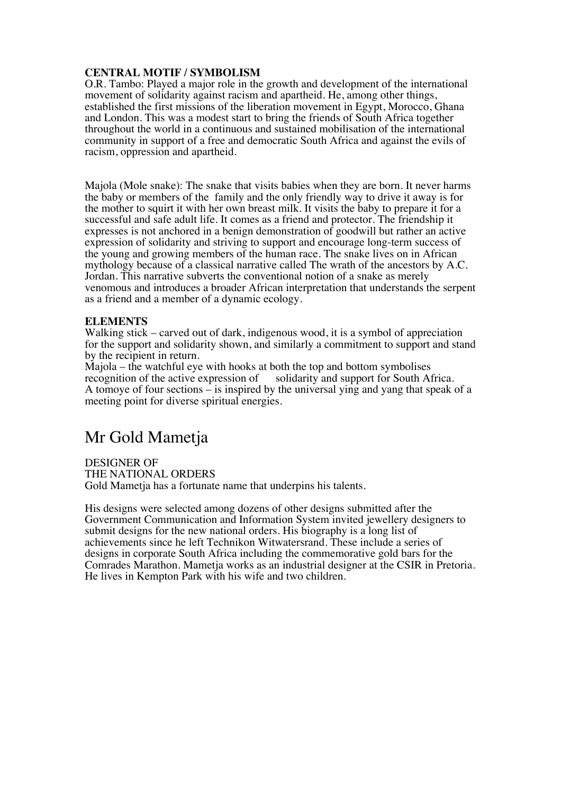### **CENTRAL MOTIF / SYMBOLISM**

O.R. Tambo: Played a major role in the growth and development of the international movement of solidarity against racism and apartheid. He, among other things, established the first missions of the liberation movement in Egypt, Morocco, Ghana and London. This was a modest start to bring the friends of South Africa together throughout the world in a continuous and sustained mobilisation of the international community in support of a free and democratic South Africa and against the evils of racism, oppression and apartheid.

Majola (Mole snake): The snake that visits babies when they are born. It never harms the baby or members of the family and the only friendly way to drive it away is for the mother to squirt it with her own breast milk. It visits the baby to prepare it for a successful and safe adult life. It comes as a friend and protector. The friendship it expresses is not anchored in a benign demonstration of goodwill but rather an active expression of solidarity and striving to support and encourage long-term success of the young and growing members of the human race. The snake lives on in African mythology because of a classical narrative called The wrath of the ancestors by A.C. Jordan. This narrative subverts the conventional notion of a snake as merely venomous and introduces a broader African interpretation that understands the serpent as a friend and a member of a dynamic ecology.

### **ELEMENTS**

Walking stick – carved out of dark, indigenous wood, it is a symbol of appreciation for the support and solidarity shown, and similarly a commitment to support and stand by the recipient in return.

Majola – the watchful eye with hooks at both the top and bottom symbolises recognition of the active expression of solidarity and support for South Africa. A tomoye of four sections – is inspired by the universal ying and yang that speak of a meeting point for diverse spiritual energies.

# Mr Gold Mametja

DESIGNER OF THE NATIONAL ORDERS Gold Mametja has a fortunate name that underpins his talents.

His designs were selected among dozens of other designs submitted after the Government Communication and Information System invited jewellery designers to submit designs for the new national orders. His biography is a long list of achievements since he left Technikon Witwatersrand. These include a series of designs in corporate South Africa including the commemorative gold bars for the Comrades Marathon. Mametja works as an industrial designer at the CSIR in Pretoria. He lives in Kempton Park with his wife and two children.